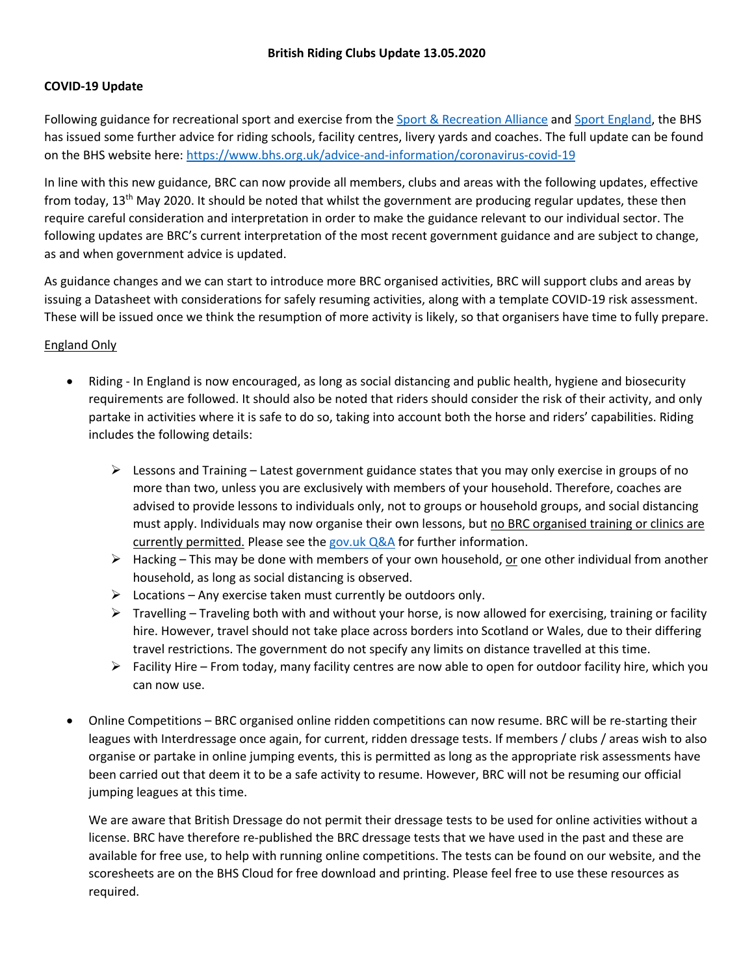## **COVID-19 Update**

Following guidance for recreational sport and exercise from the Sport & Recreation Alliance and Sport England, the BHS has issued some further advice for riding schools, facility centres, livery yards and coaches. The full update can be found on the BHS website here: https://www.bhs.org.uk/advice-and-information/coronavirus-covid-19

In line with this new guidance, BRC can now provide all members, clubs and areas with the following updates, effective from today, 13<sup>th</sup> May 2020. It should be noted that whilst the government are producing regular updates, these then require careful consideration and interpretation in order to make the guidance relevant to our individual sector. The following updates are BRC's current interpretation of the most recent government guidance and are subject to change, as and when government advice is updated.

As guidance changes and we can start to introduce more BRC organised activities, BRC will support clubs and areas by issuing a Datasheet with considerations for safely resuming activities, along with a template COVID-19 risk assessment. These will be issued once we think the resumption of more activity is likely, so that organisers have time to fully prepare.

# England Only

- Riding In England is now encouraged, as long as social distancing and public health, hygiene and biosecurity requirements are followed. It should also be noted that riders should consider the risk of their activity, and only partake in activities where it is safe to do so, taking into account both the horse and riders' capabilities. Riding includes the following details:
	- $\triangleright$  Lessons and Training Latest government guidance states that you may only exercise in groups of no more than two, unless you are exclusively with members of your household. Therefore, coaches are advised to provide lessons to individuals only, not to groups or household groups, and social distancing must apply. Individuals may now organise their own lessons, but no BRC organised training or clinics are currently permitted. Please see the gov.uk Q&A for further information.
	- $\triangleright$  Hacking This may be done with members of your own household, or one other individual from another household, as long as social distancing is observed.
	- $\triangleright$  Locations Any exercise taken must currently be outdoors only.
	- $\triangleright$  Travelling Traveling both with and without your horse, is now allowed for exercising, training or facility hire. However, travel should not take place across borders into Scotland or Wales, due to their differing travel restrictions. The government do not specify any limits on distance travelled at this time.
	- $\triangleright$  Facility Hire From today, many facility centres are now able to open for outdoor facility hire, which you can now use.
- Online Competitions BRC organised online ridden competitions can now resume. BRC will be re-starting their leagues with Interdressage once again, for current, ridden dressage tests. If members / clubs / areas wish to also organise or partake in online jumping events, this is permitted as long as the appropriate risk assessments have been carried out that deem it to be a safe activity to resume. However, BRC will not be resuming our official jumping leagues at this time.

We are aware that British Dressage do not permit their dressage tests to be used for online activities without a license. BRC have therefore re-published the BRC dressage tests that we have used in the past and these are available for free use, to help with running online competitions. The tests can be found on our website, and the scoresheets are on the BHS Cloud for free download and printing. Please feel free to use these resources as required.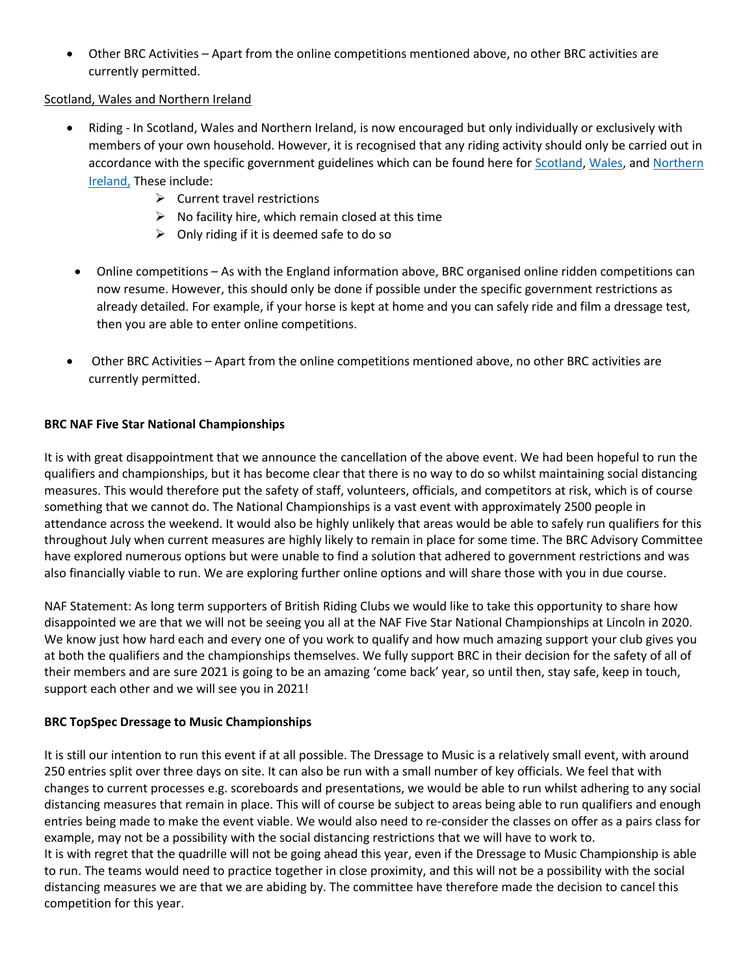• Other BRC Activities – Apart from the online competitions mentioned above, no other BRC activities are currently permitted.

# Scotland, Wales and Northern Ireland

- Riding In Scotland, Wales and Northern Ireland, is now encouraged but only individually or exclusively with members of your own household. However, it is recognised that any riding activity should only be carried out in accordance with the specific government guidelines which can be found here for Scotland, Wales, and Northern Ireland, These include:
	- $\triangleright$  Current travel restrictions
	- $\triangleright$  No facility hire, which remain closed at this time
	- $\triangleright$  Only riding if it is deemed safe to do so
- Online competitions As with the England information above, BRC organised online ridden competitions can now resume. However, this should only be done if possible under the specific government restrictions as already detailed. For example, if your horse is kept at home and you can safely ride and film a dressage test, then you are able to enter online competitions.
- Other BRC Activities Apart from the online competitions mentioned above, no other BRC activities are currently permitted.

# **BRC NAF Five Star National Championships**

It is with great disappointment that we announce the cancellation of the above event. We had been hopeful to run the qualifiers and championships, but it has become clear that there is no way to do so whilst maintaining social distancing measures. This would therefore put the safety of staff, volunteers, officials, and competitors at risk, which is of course something that we cannot do. The National Championships is a vast event with approximately 2500 people in attendance across the weekend. It would also be highly unlikely that areas would be able to safely run qualifiers for this throughout July when current measures are highly likely to remain in place for some time. The BRC Advisory Committee have explored numerous options but were unable to find a solution that adhered to government restrictions and was also financially viable to run. We are exploring further online options and will share those with you in due course.

NAF Statement: As long term supporters of British Riding Clubs we would like to take this opportunity to share how disappointed we are that we will not be seeing you all at the NAF Five Star National Championships at Lincoln in 2020. We know just how hard each and every one of you work to qualify and how much amazing support your club gives you at both the qualifiers and the championships themselves. We fully support BRC in their decision for the safety of all of their members and are sure 2021 is going to be an amazing 'come back' year, so until then, stay safe, keep in touch, support each other and we will see you in 2021!

### **BRC TopSpec Dressage to Music Championships**

It is still our intention to run this event if at all possible. The Dressage to Music is a relatively small event, with around 250 entries split over three days on site. It can also be run with a small number of key officials. We feel that with changes to current processes e.g. scoreboards and presentations, we would be able to run whilst adhering to any social distancing measures that remain in place. This will of course be subject to areas being able to run qualifiers and enough entries being made to make the event viable. We would also need to re-consider the classes on offer as a pairs class for example, may not be a possibility with the social distancing restrictions that we will have to work to. It is with regret that the quadrille will not be going ahead this year, even if the Dressage to Music Championship is able to run. The teams would need to practice together in close proximity, and this will not be a possibility with the social distancing measures we are that we are abiding by. The committee have therefore made the decision to cancel this competition for this year.